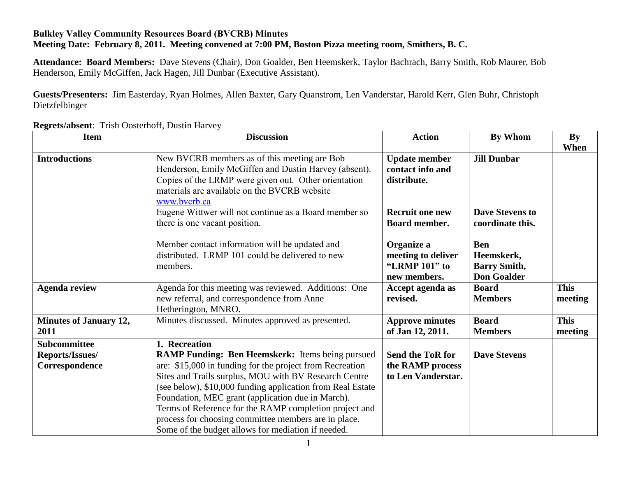## **Bulkley Valley Community Resources Board (BVCRB) Minutes Meeting Date: February 8, 2011. Meeting convened at 7:00 PM, Boston Pizza meeting room, Smithers, B. C.**

**Attendance: Board Members:** Dave Stevens (Chair), Don Goalder, Ben Heemskerk, Taylor Bachrach, Barry Smith, Rob Maurer, Bob Henderson, Emily McGiffen, Jack Hagen, Jill Dunbar (Executive Assistant).

**Guests/Presenters:** Jim Easterday, Ryan Holmes, Allen Baxter, Gary Quanstrom, Len Vanderstar, Harold Kerr, Glen Buhr, Christoph Dietzfelbinger

| <b>Item</b>                           | <b>Discussion</b>                                                                                                                                                                                                                                                                                                                                | <b>Action</b>                                                     | <b>By Whom</b>                                                        | By<br>When             |
|---------------------------------------|--------------------------------------------------------------------------------------------------------------------------------------------------------------------------------------------------------------------------------------------------------------------------------------------------------------------------------------------------|-------------------------------------------------------------------|-----------------------------------------------------------------------|------------------------|
| <b>Introductions</b>                  | New BVCRB members as of this meeting are Bob<br>Henderson, Emily McGiffen and Dustin Harvey (absent).<br>Copies of the LRMP were given out. Other orientation<br>materials are available on the BVCRB website<br>www.bvcrb.ca                                                                                                                    | <b>Update member</b><br>contact info and<br>distribute.           | <b>Jill Dunbar</b>                                                    |                        |
|                                       | Eugene Wittwer will not continue as a Board member so<br>there is one vacant position.                                                                                                                                                                                                                                                           | <b>Recruit one new</b><br>Board member.                           | <b>Dave Stevens to</b><br>coordinate this.                            |                        |
|                                       | Member contact information will be updated and<br>distributed. LRMP 101 could be delivered to new<br>members.                                                                                                                                                                                                                                    | Organize a<br>meeting to deliver<br>"LRMP 101" to<br>new members. | <b>Ben</b><br>Heemskerk,<br><b>Barry Smith,</b><br><b>Don Goalder</b> |                        |
| <b>Agenda review</b>                  | Agenda for this meeting was reviewed. Additions: One<br>new referral, and correspondence from Anne<br>Hetherington, MNRO.                                                                                                                                                                                                                        | Accept agenda as<br>revised.                                      | <b>Board</b><br><b>Members</b>                                        | <b>This</b><br>meeting |
| <b>Minutes of January 12,</b><br>2011 | Minutes discussed. Minutes approved as presented.                                                                                                                                                                                                                                                                                                | <b>Approve minutes</b><br>of Jan 12, 2011.                        | <b>Board</b><br><b>Members</b>                                        | <b>This</b><br>meeting |
| Subcommittee                          | 1. Recreation                                                                                                                                                                                                                                                                                                                                    |                                                                   |                                                                       |                        |
| Reports/Issues/                       | <b>RAMP Funding: Ben Heemskerk:</b> Items being pursued                                                                                                                                                                                                                                                                                          | <b>Send the ToR for</b>                                           | <b>Dave Stevens</b>                                                   |                        |
| Correspondence                        | are: \$15,000 in funding for the project from Recreation                                                                                                                                                                                                                                                                                         | the RAMP process                                                  |                                                                       |                        |
|                                       | Sites and Trails surplus, MOU with BV Research Centre<br>(see below), \$10,000 funding application from Real Estate<br>Foundation, MEC grant (application due in March).<br>Terms of Reference for the RAMP completion project and<br>process for choosing committee members are in place.<br>Some of the budget allows for mediation if needed. | to Len Vanderstar.                                                |                                                                       |                        |

**Regrets/absent**: Trish Oosterhoff, Dustin Harvey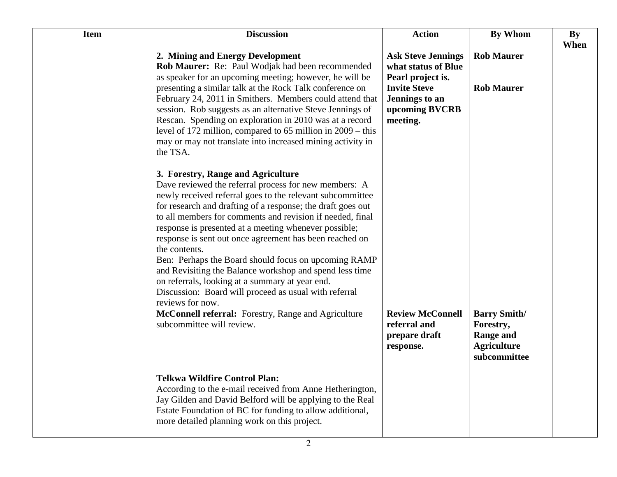| <b>Item</b> | <b>Discussion</b>                                                                                                                                                                                                                                                                                                                                                                                                                                                                                                                                                                                                                                                                                                                                                | <b>Action</b>                                                                                                                                | <b>By Whom</b>                                                                             | <b>By</b> |
|-------------|------------------------------------------------------------------------------------------------------------------------------------------------------------------------------------------------------------------------------------------------------------------------------------------------------------------------------------------------------------------------------------------------------------------------------------------------------------------------------------------------------------------------------------------------------------------------------------------------------------------------------------------------------------------------------------------------------------------------------------------------------------------|----------------------------------------------------------------------------------------------------------------------------------------------|--------------------------------------------------------------------------------------------|-----------|
|             |                                                                                                                                                                                                                                                                                                                                                                                                                                                                                                                                                                                                                                                                                                                                                                  |                                                                                                                                              |                                                                                            | When      |
|             | 2. Mining and Energy Development<br>Rob Maurer: Re: Paul Wodjak had been recommended<br>as speaker for an upcoming meeting; however, he will be<br>presenting a similar talk at the Rock Talk conference on<br>February 24, 2011 in Smithers. Members could attend that<br>session. Rob suggests as an alternative Steve Jennings of<br>Rescan. Spending on exploration in 2010 was at a record<br>level of 172 million, compared to 65 million in 2009 – this<br>may or may not translate into increased mining activity in<br>the TSA.                                                                                                                                                                                                                         | <b>Ask Steve Jennings</b><br>what status of Blue<br>Pearl project is.<br><b>Invite Steve</b><br>Jennings to an<br>upcoming BVCRB<br>meeting. | <b>Rob Maurer</b><br><b>Rob Maurer</b>                                                     |           |
|             | 3. Forestry, Range and Agriculture<br>Dave reviewed the referral process for new members: A<br>newly received referral goes to the relevant subcommittee<br>for research and drafting of a response; the draft goes out<br>to all members for comments and revision if needed, final<br>response is presented at a meeting whenever possible;<br>response is sent out once agreement has been reached on<br>the contents.<br>Ben: Perhaps the Board should focus on upcoming RAMP<br>and Revisiting the Balance workshop and spend less time<br>on referrals, looking at a summary at year end.<br>Discussion: Board will proceed as usual with referral<br>reviews for now.<br>McConnell referral: Forestry, Range and Agriculture<br>subcommittee will review. | <b>Review McConnell</b><br>referral and<br>prepare draft<br>response.                                                                        | <b>Barry Smith/</b><br>Forestry,<br><b>Range and</b><br><b>Agriculture</b><br>subcommittee |           |
|             | <b>Telkwa Wildfire Control Plan:</b><br>According to the e-mail received from Anne Hetherington,<br>Jay Gilden and David Belford will be applying to the Real<br>Estate Foundation of BC for funding to allow additional,<br>more detailed planning work on this project.                                                                                                                                                                                                                                                                                                                                                                                                                                                                                        |                                                                                                                                              |                                                                                            |           |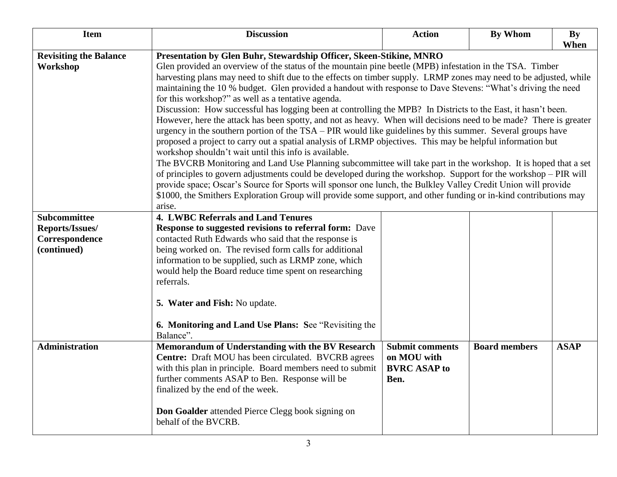| <b>Item</b>                                                             | <b>Discussion</b>                                                                                                                                                                                                                                                                                                                                                                                                                                                                                                                                                                                                                                                                                                                                                                                                                                                                                                                                                                                                                                                                                                                                                                                                                                                                                                                                                                                                                                                                         | <b>Action</b>                                                        | <b>By Whom</b>       | <b>By</b>   |
|-------------------------------------------------------------------------|-------------------------------------------------------------------------------------------------------------------------------------------------------------------------------------------------------------------------------------------------------------------------------------------------------------------------------------------------------------------------------------------------------------------------------------------------------------------------------------------------------------------------------------------------------------------------------------------------------------------------------------------------------------------------------------------------------------------------------------------------------------------------------------------------------------------------------------------------------------------------------------------------------------------------------------------------------------------------------------------------------------------------------------------------------------------------------------------------------------------------------------------------------------------------------------------------------------------------------------------------------------------------------------------------------------------------------------------------------------------------------------------------------------------------------------------------------------------------------------------|----------------------------------------------------------------------|----------------------|-------------|
|                                                                         |                                                                                                                                                                                                                                                                                                                                                                                                                                                                                                                                                                                                                                                                                                                                                                                                                                                                                                                                                                                                                                                                                                                                                                                                                                                                                                                                                                                                                                                                                           |                                                                      |                      | When        |
| <b>Revisiting the Balance</b><br>Workshop                               | Presentation by Glen Buhr, Stewardship Officer, Skeen-Stikine, MNRO<br>Glen provided an overview of the status of the mountain pine beetle (MPB) infestation in the TSA. Timber<br>harvesting plans may need to shift due to the effects on timber supply. LRMP zones may need to be adjusted, while<br>maintaining the 10 % budget. Glen provided a handout with response to Dave Stevens: "What's driving the need<br>for this workshop?" as well as a tentative agenda.<br>Discussion: How successful has logging been at controlling the MPB? In Districts to the East, it hasn't been.<br>However, here the attack has been spotty, and not as heavy. When will decisions need to be made? There is greater<br>urgency in the southern portion of the TSA – PIR would like guidelines by this summer. Several groups have<br>proposed a project to carry out a spatial analysis of LRMP objectives. This may be helpful information but<br>workshop shouldn't wait until this info is available.<br>The BVCRB Monitoring and Land Use Planning subcommittee will take part in the workshop. It is hoped that a set<br>of principles to govern adjustments could be developed during the workshop. Support for the workshop – PIR will<br>provide space; Oscar's Source for Sports will sponsor one lunch, the Bulkley Valley Credit Union will provide<br>\$1000, the Smithers Exploration Group will provide some support, and other funding or in-kind contributions may<br>arise. |                                                                      |                      |             |
| <b>Subcommittee</b><br>Reports/Issues/<br>Correspondence<br>(continued) | <b>4. LWBC Referrals and Land Tenures</b><br><b>Response to suggested revisions to referral form:</b> Dave<br>contacted Ruth Edwards who said that the response is<br>being worked on. The revised form calls for additional<br>information to be supplied, such as LRMP zone, which<br>would help the Board reduce time spent on researching<br>referrals.<br>5. Water and Fish: No update.<br>6. Monitoring and Land Use Plans: See "Revisiting the<br>Balance".                                                                                                                                                                                                                                                                                                                                                                                                                                                                                                                                                                                                                                                                                                                                                                                                                                                                                                                                                                                                                        |                                                                      |                      |             |
| <b>Administration</b>                                                   | Memorandum of Understanding with the BV Research<br>Centre: Draft MOU has been circulated. BVCRB agrees<br>with this plan in principle. Board members need to submit<br>further comments ASAP to Ben. Response will be<br>finalized by the end of the week.<br>Don Goalder attended Pierce Clegg book signing on<br>behalf of the BVCRB.                                                                                                                                                                                                                                                                                                                                                                                                                                                                                                                                                                                                                                                                                                                                                                                                                                                                                                                                                                                                                                                                                                                                                  | <b>Submit comments</b><br>on MOU with<br><b>BVRC ASAP to</b><br>Ben. | <b>Board members</b> | <b>ASAP</b> |